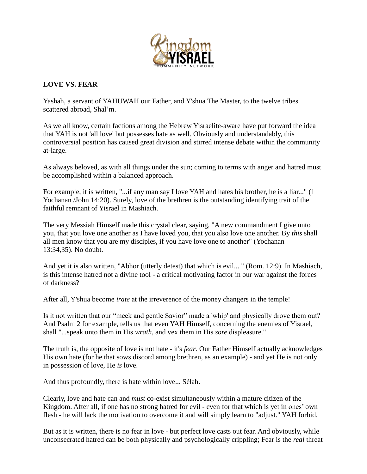

## **LOVE VS. FEAR**

Yashah, a servant of YAHUWAH our Father, and Y'shua The Master, to the twelve tribes scattered abroad, Shal'm.

As we all know, certain factions among the Hebrew Yisraelite-aware have put forward the idea that YAH is not 'all love' but possesses hate as well. Obviously and understandably, this controversial position has caused great division and stirred intense debate within the community at-large.

As always beloved, as with all things under the sun; coming to terms with anger and hatred must be accomplished within a balanced approach.

For example, it is written, "...if any man say I love YAH and hates his brother, he is a liar..." (1 Yochanan /John 14:20). Surely, love of the brethren is the outstanding identifying trait of the faithful remnant of Yisrael in Mashiach.

The very Messiah Himself made this crystal clear, saying, "A new commandment I give unto you, that you love one another as I have loved you, that you also love one another. By *this* shall all men know that you are my disciples, if you have love one to another" (Yochanan 13:34,35). No doubt.

And yet it is also written, "Abhor (utterly detest) that which is evil... " (Rom. 12:9). In Mashiach, is this intense hatred not a divine tool - a critical motivating factor in our war against the forces of darkness?

After all, Y'shua become *irate* at the irreverence of the money changers in the temple!

Is it not written that our "meek and gentle Savior" made a 'whip' and physically drove them out? And Psalm 2 for example, tells us that even YAH Himself, concerning the enemies of Yisrael, shall "...speak unto them in His *wrath*, and vex them in His *sore* displeasure."

The truth is, the opposite of love is not hate - it's *fear*. Our Father Himself actually acknowledges His own hate (for he that sows discord among brethren, as an example) - and yet He is not only in possession of love, He *is* love.

And thus profoundly, there is hate within love... Sélah.

Clearly, love and hate can and *must* co-exist simultaneously within a mature citizen of the Kingdom. After all, if one has no strong hatred for evil - even for that which is yet in ones' own flesh - he will lack the motivation to overcome it and will simply learn to "adjust." YAH forbid.

But as it is written, there is no fear in love - but perfect love casts out fear. And obviously, while unconsecrated hatred can be both physically and psychologically crippling; Fear is the *real* threat